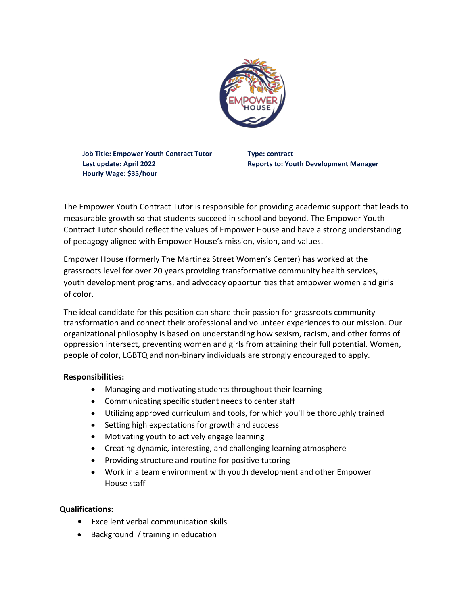

**Job Title: Empower Youth Contract Tutor Type: contract Last update: April 2022 Reports to: Youth Development Manager Hourly Wage: \$35/hour**

The Empower Youth Contract Tutor is responsible for providing academic support that leads to measurable growth so that students succeed in school and beyond. The Empower Youth Contract Tutor should reflect the values of Empower House and have a strong understanding of pedagogy aligned with Empower House's mission, vision, and values.

Empower House (formerly The Martinez Street Women's Center) has worked at the grassroots level for over 20 years providing transformative community health services, youth development programs, and advocacy opportunities that empower women and girls of color.

The ideal candidate for this position can share their passion for grassroots community transformation and connect their professional and volunteer experiences to our mission. Our organizational philosophy is based on understanding how sexism, racism, and other forms of oppression intersect, preventing women and girls from attaining their full potential. Women, people of color, LGBTQ and non-binary individuals are strongly encouraged to apply.

## **Responsibilities:**

- Managing and motivating students throughout their learning
- Communicating specific student needs to center staff
- Utilizing approved curriculum and tools, for which you'll be thoroughly trained
- Setting high expectations for growth and success
- Motivating youth to actively engage learning
- Creating dynamic, interesting, and challenging learning atmosphere
- Providing structure and routine for positive tutoring
- Work in a team environment with youth development and other Empower House staff

## **Qualifications:**

- Excellent verbal communication skills
- Background / training in education